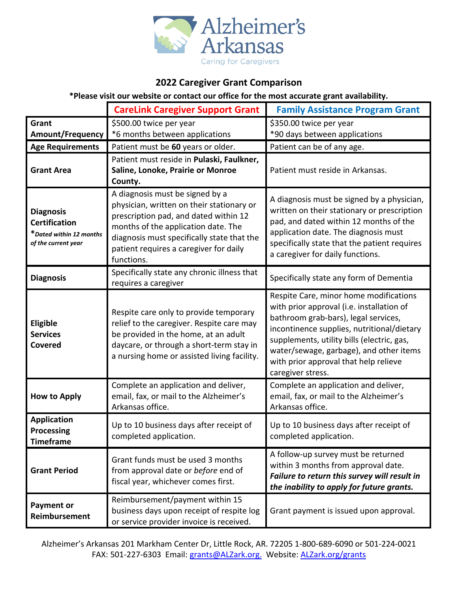

## **2022 Caregiver Grant Comparison**

**\*Please visit our website or contact our office for the most accurate grant availability.**

|                                                                                            | <b>CareLink Caregiver Support Grant</b>                                                                                                                                                                                                                            | <b>Family Assistance Program Grant</b>                                                                                                                                                                                                                                                                                           |
|--------------------------------------------------------------------------------------------|--------------------------------------------------------------------------------------------------------------------------------------------------------------------------------------------------------------------------------------------------------------------|----------------------------------------------------------------------------------------------------------------------------------------------------------------------------------------------------------------------------------------------------------------------------------------------------------------------------------|
| Grant                                                                                      | \$500.00 twice per year                                                                                                                                                                                                                                            | \$350.00 twice per year                                                                                                                                                                                                                                                                                                          |
| <b>Amount/Frequency</b>                                                                    | *6 months between applications                                                                                                                                                                                                                                     | *90 days between applications                                                                                                                                                                                                                                                                                                    |
| <b>Age Requirements</b>                                                                    | Patient must be 60 years or older.                                                                                                                                                                                                                                 | Patient can be of any age.                                                                                                                                                                                                                                                                                                       |
| <b>Grant Area</b>                                                                          | Patient must reside in Pulaski, Faulkner,<br>Saline, Lonoke, Prairie or Monroe<br>County.                                                                                                                                                                          | Patient must reside in Arkansas.                                                                                                                                                                                                                                                                                                 |
| <b>Diagnosis</b><br><b>Certification</b><br>*Dated within 12 months<br>of the current year | A diagnosis must be signed by a<br>physician, written on their stationary or<br>prescription pad, and dated within 12<br>months of the application date. The<br>diagnosis must specifically state that the<br>patient requires a caregiver for daily<br>functions. | A diagnosis must be signed by a physician,<br>written on their stationary or prescription<br>pad, and dated within 12 months of the<br>application date. The diagnosis must<br>specifically state that the patient requires<br>a caregiver for daily functions.                                                                  |
| <b>Diagnosis</b>                                                                           | Specifically state any chronic illness that<br>requires a caregiver                                                                                                                                                                                                | Specifically state any form of Dementia                                                                                                                                                                                                                                                                                          |
| <b>Eligible</b><br><b>Services</b><br><b>Covered</b>                                       | Respite care only to provide temporary<br>relief to the caregiver. Respite care may<br>be provided in the home, at an adult<br>daycare, or through a short-term stay in<br>a nursing home or assisted living facility.                                             | Respite Care, minor home modifications<br>with prior approval (i.e. installation of<br>bathroom grab-bars), legal services,<br>incontinence supplies, nutritional/dietary<br>supplements, utility bills (electric, gas,<br>water/sewage, garbage), and other items<br>with prior approval that help relieve<br>caregiver stress. |
| <b>How to Apply</b>                                                                        | Complete an application and deliver,<br>email, fax, or mail to the Alzheimer's<br>Arkansas office.                                                                                                                                                                 | Complete an application and deliver,<br>email, fax, or mail to the Alzheimer's<br>Arkansas office.                                                                                                                                                                                                                               |
| <b>Application</b><br><b>Processing</b><br><b>Timeframe</b>                                | Up to 10 business days after receipt of<br>completed application.                                                                                                                                                                                                  | Up to 10 business days after receipt of<br>completed application.                                                                                                                                                                                                                                                                |
| <b>Grant Period</b>                                                                        | Grant funds must be used 3 months<br>from approval date or before end of<br>fiscal year, whichever comes first.                                                                                                                                                    | A follow-up survey must be returned<br>within 3 months from approval date.<br>Failure to return this survey will result in<br>the inability to apply for future grants.                                                                                                                                                          |
| <b>Payment or</b><br><b>Reimbursement</b>                                                  | Reimbursement/payment within 15<br>business days upon receipt of respite log<br>or service provider invoice is received.                                                                                                                                           | Grant payment is issued upon approval.                                                                                                                                                                                                                                                                                           |

Alzheimer's Arkansas 201 Markham Center Dr, Little Rock, AR. 72205 1-800-689-6090 or 501-224-0021 FAX: 501-227-6303 Email: [grants@ALZark.org.](mailto:grants@ALZark.org) Website: [ALZark.org/grants](http://www.alzark.org/grants/)